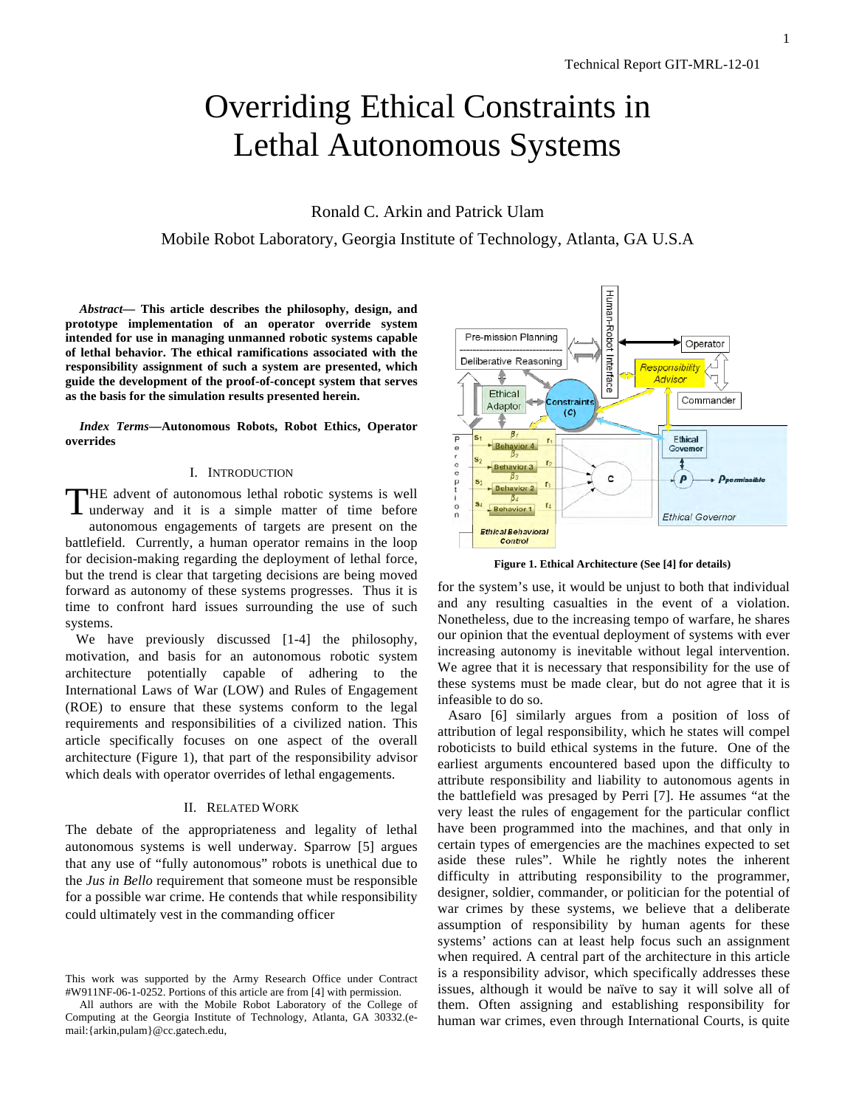# Overriding Ethical Constraints in Lethal Autonomous Systems

Ronald C. Arkin and Patrick Ulam

Mobile Robot Laboratory, Georgia Institute of Technology, Atlanta, GA U.S.A

*Abstract***— This article describes the philosophy, design, and prototype implementation of an operator override system intended for use in managing unmanned robotic systems capable of lethal behavior. The ethical ramifications associated with the responsibility assignment of such a system are presented, which guide the development of the proof-of-concept system that serves as the basis for the simulation results presented herein.**

*Index Terms***—Autonomous Robots, Robot Ethics, Operator overrides**

## I. INTRODUCTION

THE advent of autonomous lethal robotic systems is well underway and it is a simple matter of time before underway and it is a simple matter of time before autonomous engagements of targets are present on the battlefield. Currently, a human operator remains in the loop for decision-making regarding the deployment of lethal force, but the trend is clear that targeting decisions are being moved forward as autonomy of these systems progresses. Thus it is time to confront hard issues surrounding the use of such systems.

We have previously discussed [1-4] the philosophy, motivation, and basis for an autonomous robotic system architecture potentially capable of adhering to the International Laws of War (LOW) and Rules of Engagement (ROE) to ensure that these systems conform to the legal requirements and responsibilities of a civilized nation. This article specifically focuses on one aspect of the overall architecture (Figure 1), that part of the responsibility advisor which deals with operator overrides of lethal engagements.

#### II. RELATED WORK

The debate of the appropriateness and legality of lethal autonomous systems is well underway. Sparrow [5] argues that any use of "fully autonomous" robots is unethical due to the *Jus in Bello* requirement that someone must be responsible for a possible war crime. He contends that while responsibility could ultimately vest in the commanding officer



**Figure 1. Ethical Architecture (See [4] for details)**

for the system's use, it would be unjust to both that individual and any resulting casualties in the event of a violation. Nonetheless, due to the increasing tempo of warfare, he shares our opinion that the eventual deployment of systems with ever increasing autonomy is inevitable without legal intervention. We agree that it is necessary that responsibility for the use of these systems must be made clear, but do not agree that it is infeasible to do so.

 Asaro [6] similarly argues from a position of loss of attribution of legal responsibility, which he states will compel roboticists to build ethical systems in the future. One of the earliest arguments encountered based upon the difficulty to attribute responsibility and liability to autonomous agents in the battlefield was presaged by Perri [7]. He assumes "at the very least the rules of engagement for the particular conflict have been programmed into the machines, and that only in certain types of emergencies are the machines expected to set aside these rules". While he rightly notes the inherent difficulty in attributing responsibility to the programmer, designer, soldier, commander, or politician for the potential of war crimes by these systems, we believe that a deliberate assumption of responsibility by human agents for these systems' actions can at least help focus such an assignment when required. A central part of the architecture in this article is a responsibility advisor, which specifically addresses these issues, although it would be naïve to say it will solve all of them. Often assigning and establishing responsibility for human war crimes, even through International Courts, is quite

This work was supported by the Army Research Office under Contract #W911NF-06-1-0252. Portions of this article are from [4] with permission.

All authors are with the Mobile Robot Laboratory of the College of Computing at the Georgia Institute of Technology, Atlanta, GA 30332.(email:{arkin,pulam}@cc.gatech.edu,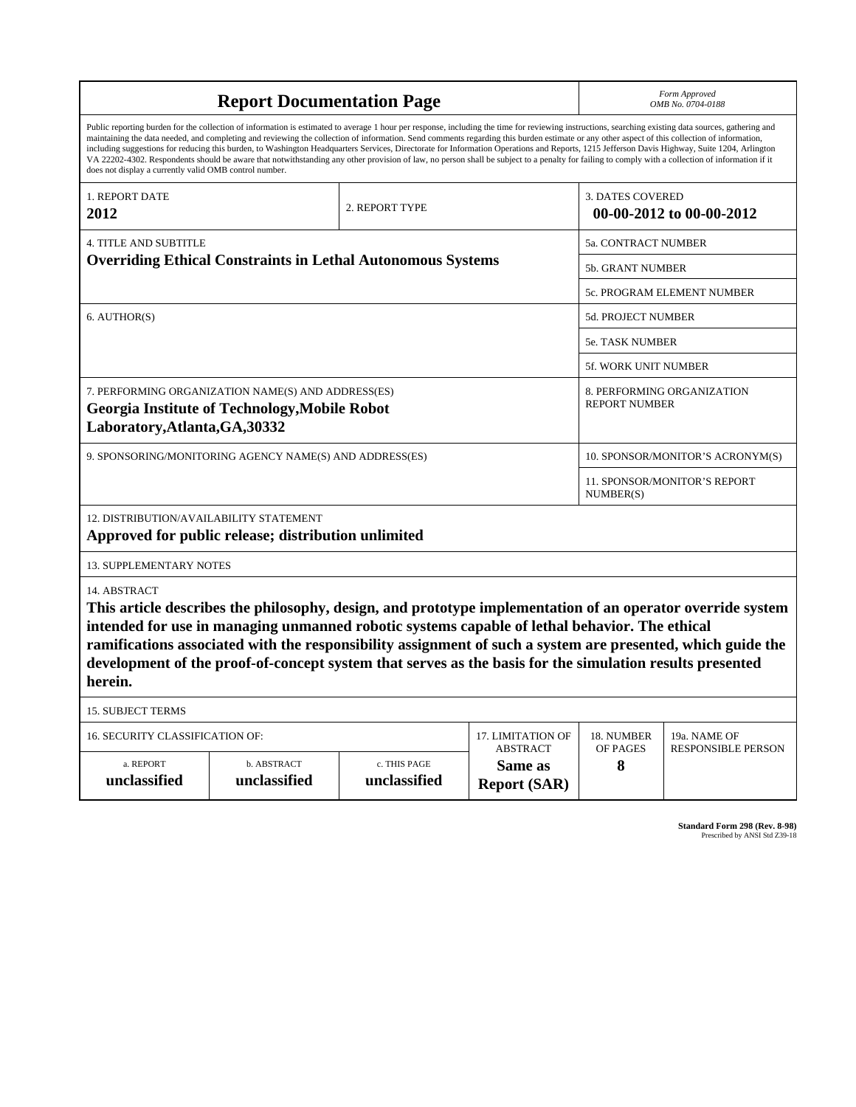| <b>Report Documentation Page</b>                                                                                                                                                                                                                                                                                                                                                                                                                                                                                                                                                                                                                                                                                                                                                                                                                                   |                                                                                                                                                                                                                                                                                                                                                                                                                                        |                                                    |                                                     |                                  | Form Approved<br>OMB No. 0704-0188        |  |
|--------------------------------------------------------------------------------------------------------------------------------------------------------------------------------------------------------------------------------------------------------------------------------------------------------------------------------------------------------------------------------------------------------------------------------------------------------------------------------------------------------------------------------------------------------------------------------------------------------------------------------------------------------------------------------------------------------------------------------------------------------------------------------------------------------------------------------------------------------------------|----------------------------------------------------------------------------------------------------------------------------------------------------------------------------------------------------------------------------------------------------------------------------------------------------------------------------------------------------------------------------------------------------------------------------------------|----------------------------------------------------|-----------------------------------------------------|----------------------------------|-------------------------------------------|--|
| Public reporting burden for the collection of information is estimated to average 1 hour per response, including the time for reviewing instructions, searching existing data sources, gathering and<br>maintaining the data needed, and completing and reviewing the collection of information. Send comments regarding this burden estimate or any other aspect of this collection of information,<br>including suggestions for reducing this burden, to Washington Headquarters Services, Directorate for Information Operations and Reports, 1215 Jefferson Davis Highway, Suite 1204, Arlington<br>VA 22202-4302. Respondents should be aware that notwithstanding any other provision of law, no person shall be subject to a penalty for failing to comply with a collection of information if it<br>does not display a currently valid OMB control number. |                                                                                                                                                                                                                                                                                                                                                                                                                                        |                                                    |                                                     |                                  |                                           |  |
| 1. REPORT DATE<br>2012                                                                                                                                                                                                                                                                                                                                                                                                                                                                                                                                                                                                                                                                                                                                                                                                                                             | 2. REPORT TYPE                                                                                                                                                                                                                                                                                                                                                                                                                         |                                                    | <b>3. DATES COVERED</b><br>00-00-2012 to 00-00-2012 |                                  |                                           |  |
| <b>4. TITLE AND SUBTITLE</b>                                                                                                                                                                                                                                                                                                                                                                                                                                                                                                                                                                                                                                                                                                                                                                                                                                       |                                                                                                                                                                                                                                                                                                                                                                                                                                        | 5a. CONTRACT NUMBER                                |                                                     |                                  |                                           |  |
| <b>Overriding Ethical Constraints in Lethal Autonomous Systems</b>                                                                                                                                                                                                                                                                                                                                                                                                                                                                                                                                                                                                                                                                                                                                                                                                 |                                                                                                                                                                                                                                                                                                                                                                                                                                        |                                                    |                                                     | 5b. GRANT NUMBER                 |                                           |  |
|                                                                                                                                                                                                                                                                                                                                                                                                                                                                                                                                                                                                                                                                                                                                                                                                                                                                    |                                                                                                                                                                                                                                                                                                                                                                                                                                        |                                                    |                                                     | 5c. PROGRAM ELEMENT NUMBER       |                                           |  |
| 6. AUTHOR(S)                                                                                                                                                                                                                                                                                                                                                                                                                                                                                                                                                                                                                                                                                                                                                                                                                                                       |                                                                                                                                                                                                                                                                                                                                                                                                                                        |                                                    |                                                     | 5d. PROJECT NUMBER               |                                           |  |
|                                                                                                                                                                                                                                                                                                                                                                                                                                                                                                                                                                                                                                                                                                                                                                                                                                                                    |                                                                                                                                                                                                                                                                                                                                                                                                                                        |                                                    |                                                     | 5e. TASK NUMBER                  |                                           |  |
|                                                                                                                                                                                                                                                                                                                                                                                                                                                                                                                                                                                                                                                                                                                                                                                                                                                                    |                                                                                                                                                                                                                                                                                                                                                                                                                                        |                                                    |                                                     | <b>5f. WORK UNIT NUMBER</b>      |                                           |  |
| Laboratory, Atlanta, GA, 30332                                                                                                                                                                                                                                                                                                                                                                                                                                                                                                                                                                                                                                                                                                                                                                                                                                     | 7. PERFORMING ORGANIZATION NAME(S) AND ADDRESS(ES)<br><b>Georgia Institute of Technology, Mobile Robot</b>                                                                                                                                                                                                                                                                                                                             | 8. PERFORMING ORGANIZATION<br><b>REPORT NUMBER</b> |                                                     |                                  |                                           |  |
| 9. SPONSORING/MONITORING AGENCY NAME(S) AND ADDRESS(ES)                                                                                                                                                                                                                                                                                                                                                                                                                                                                                                                                                                                                                                                                                                                                                                                                            |                                                                                                                                                                                                                                                                                                                                                                                                                                        |                                                    |                                                     | 10. SPONSOR/MONITOR'S ACRONYM(S) |                                           |  |
|                                                                                                                                                                                                                                                                                                                                                                                                                                                                                                                                                                                                                                                                                                                                                                                                                                                                    |                                                                                                                                                                                                                                                                                                                                                                                                                                        | 11. SPONSOR/MONITOR'S REPORT<br>NUMBER(S)          |                                                     |                                  |                                           |  |
| 12. DISTRIBUTION/AVAILABILITY STATEMENT                                                                                                                                                                                                                                                                                                                                                                                                                                                                                                                                                                                                                                                                                                                                                                                                                            | Approved for public release; distribution unlimited                                                                                                                                                                                                                                                                                                                                                                                    |                                                    |                                                     |                                  |                                           |  |
| <b>13. SUPPLEMENTARY NOTES</b>                                                                                                                                                                                                                                                                                                                                                                                                                                                                                                                                                                                                                                                                                                                                                                                                                                     |                                                                                                                                                                                                                                                                                                                                                                                                                                        |                                                    |                                                     |                                  |                                           |  |
| 14. ABSTRACT<br>herein.                                                                                                                                                                                                                                                                                                                                                                                                                                                                                                                                                                                                                                                                                                                                                                                                                                            | This article describes the philosophy, design, and prototype implementation of an operator override system<br>intended for use in managing unmanned robotic systems capable of lethal behavior. The ethical<br>ramifications associated with the responsibility assignment of such a system are presented, which guide the<br>development of the proof-of-concept system that serves as the basis for the simulation results presented |                                                    |                                                     |                                  |                                           |  |
| <b>15. SUBJECT TERMS</b>                                                                                                                                                                                                                                                                                                                                                                                                                                                                                                                                                                                                                                                                                                                                                                                                                                           |                                                                                                                                                                                                                                                                                                                                                                                                                                        |                                                    |                                                     |                                  |                                           |  |
| <b>16. SECURITY CLASSIFICATION OF:</b>                                                                                                                                                                                                                                                                                                                                                                                                                                                                                                                                                                                                                                                                                                                                                                                                                             |                                                                                                                                                                                                                                                                                                                                                                                                                                        |                                                    | 17. LIMITATION OF<br><b>ABSTRACT</b>                | 18. NUMBER<br>OF PAGES           | 19a. NAME OF<br><b>RESPONSIBLE PERSON</b> |  |
| a. REPORT<br>unclassified                                                                                                                                                                                                                                                                                                                                                                                                                                                                                                                                                                                                                                                                                                                                                                                                                                          | b. ABSTRACT<br>unclassified                                                                                                                                                                                                                                                                                                                                                                                                            | c. THIS PAGE<br>unclassified                       | Same as<br><b>Report (SAR)</b>                      | 8                                |                                           |  |

**Standard Form 298 (Rev. 8-98)**<br>Prescribed by ANSI Std Z39-18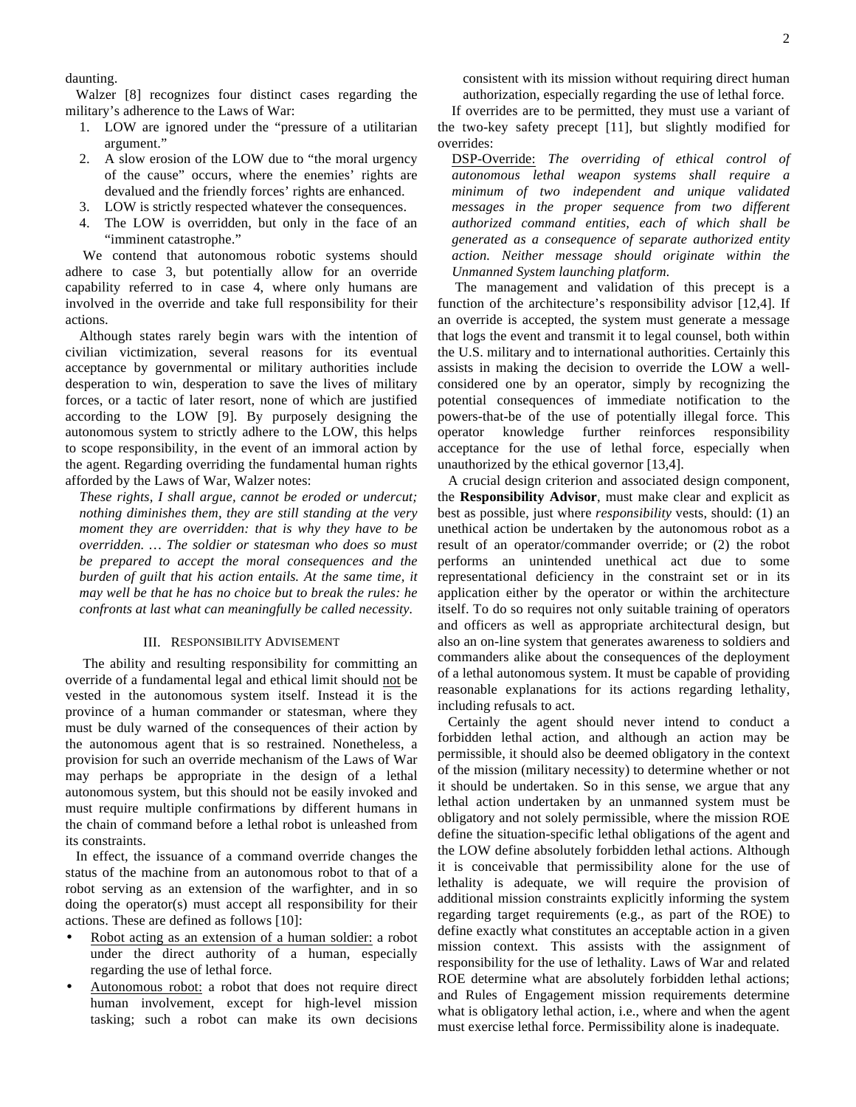daunting.

 Walzer [8] recognizes four distinct cases regarding the military's adherence to the Laws of War:

- 1. LOW are ignored under the "pressure of a utilitarian argument."
- 2. A slow erosion of the LOW due to "the moral urgency of the cause" occurs, where the enemies' rights are devalued and the friendly forces' rights are enhanced.
- 3. LOW is strictly respected whatever the consequences.
- The LOW is overridden, but only in the face of an "imminent catastrophe."

 We contend that autonomous robotic systems should adhere to case 3, but potentially allow for an override capability referred to in case 4, where only humans are involved in the override and take full responsibility for their actions.

 Although states rarely begin wars with the intention of civilian victimization, several reasons for its eventual acceptance by governmental or military authorities include desperation to win, desperation to save the lives of military forces, or a tactic of later resort, none of which are justified according to the LOW [9]. By purposely designing the autonomous system to strictly adhere to the LOW, this helps to scope responsibility, in the event of an immoral action by the agent. Regarding overriding the fundamental human rights afforded by the Laws of War, Walzer notes:

*These rights, I shall argue, cannot be eroded or undercut; nothing diminishes them, they are still standing at the very moment they are overridden: that is why they have to be overridden. … The soldier or statesman who does so must be prepared to accept the moral consequences and the burden of guilt that his action entails. At the same time, it may well be that he has no choice but to break the rules: he confronts at last what can meaningfully be called necessity.*

### III. RESPONSIBILITY ADVISEMENT

 The ability and resulting responsibility for committing an override of a fundamental legal and ethical limit should not be vested in the autonomous system itself. Instead it is the province of a human commander or statesman, where they must be duly warned of the consequences of their action by the autonomous agent that is so restrained. Nonetheless, a provision for such an override mechanism of the Laws of War may perhaps be appropriate in the design of a lethal autonomous system, but this should not be easily invoked and must require multiple confirmations by different humans in the chain of command before a lethal robot is unleashed from its constraints.

 In effect, the issuance of a command override changes the status of the machine from an autonomous robot to that of a robot serving as an extension of the warfighter, and in so doing the operator(s) must accept all responsibility for their actions. These are defined as follows [10]:

- Robot acting as an extension of a human soldier: a robot under the direct authority of a human, especially regarding the use of lethal force.
- Autonomous robot: a robot that does not require direct human involvement, except for high-level mission tasking; such a robot can make its own decisions

consistent with its mission without requiring direct human authorization, especially regarding the use of lethal force.

 If overrides are to be permitted, they must use a variant of the two-key safety precept [11], but slightly modified for overrides:

DSP-Override: *The overriding of ethical control of autonomous lethal weapon systems shall require a minimum of two independent and unique validated messages in the proper sequence from two different authorized command entities, each of which shall be generated as a consequence of separate authorized entity action. Neither message should originate within the Unmanned System launching platform.*

 The management and validation of this precept is a function of the architecture's responsibility advisor [12,4]. If an override is accepted, the system must generate a message that logs the event and transmit it to legal counsel, both within the U.S. military and to international authorities. Certainly this assists in making the decision to override the LOW a wellconsidered one by an operator, simply by recognizing the potential consequences of immediate notification to the powers-that-be of the use of potentially illegal force. This operator knowledge further reinforces responsibility acceptance for the use of lethal force, especially when unauthorized by the ethical governor [13,4].

 A crucial design criterion and associated design component, the **Responsibility Advisor**, must make clear and explicit as best as possible, just where *responsibility* vests, should: (1) an unethical action be undertaken by the autonomous robot as a result of an operator/commander override; or (2) the robot performs an unintended unethical act due to some representational deficiency in the constraint set or in its application either by the operator or within the architecture itself. To do so requires not only suitable training of operators and officers as well as appropriate architectural design, but also an on-line system that generates awareness to soldiers and commanders alike about the consequences of the deployment of a lethal autonomous system. It must be capable of providing reasonable explanations for its actions regarding lethality, including refusals to act.

 Certainly the agent should never intend to conduct a forbidden lethal action, and although an action may be permissible, it should also be deemed obligatory in the context of the mission (military necessity) to determine whether or not it should be undertaken. So in this sense, we argue that any lethal action undertaken by an unmanned system must be obligatory and not solely permissible, where the mission ROE define the situation-specific lethal obligations of the agent and the LOW define absolutely forbidden lethal actions. Although it is conceivable that permissibility alone for the use of lethality is adequate, we will require the provision of additional mission constraints explicitly informing the system regarding target requirements (e.g., as part of the ROE) to define exactly what constitutes an acceptable action in a given mission context. This assists with the assignment of responsibility for the use of lethality. Laws of War and related ROE determine what are absolutely forbidden lethal actions; and Rules of Engagement mission requirements determine what is obligatory lethal action, i.e., where and when the agent must exercise lethal force. Permissibility alone is inadequate.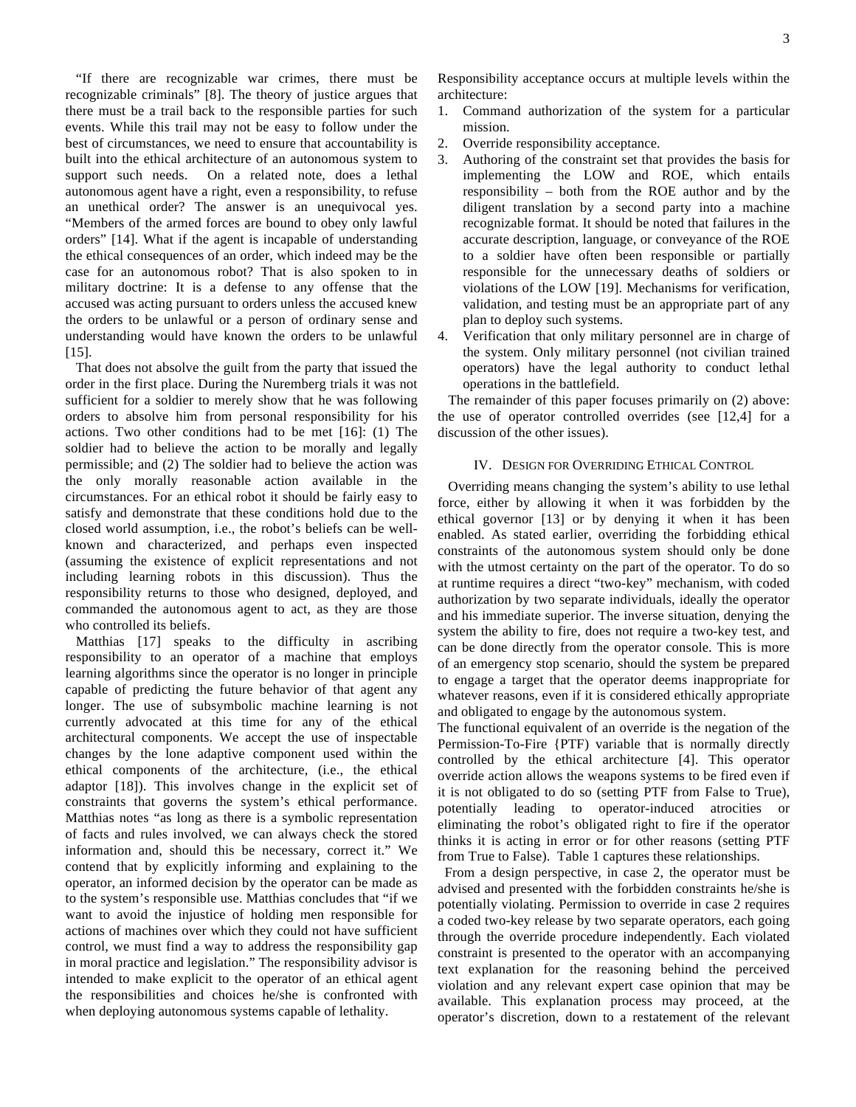"If there are recognizable war crimes, there must be recognizable criminals" [8]. The theory of justice argues that there must be a trail back to the responsible parties for such events. While this trail may not be easy to follow under the best of circumstances, we need to ensure that accountability is built into the ethical architecture of an autonomous system to support such needs. On a related note, does a lethal autonomous agent have a right, even a responsibility, to refuse an unethical order? The answer is an unequivocal yes. "Members of the armed forces are bound to obey only lawful orders" [14]. What if the agent is incapable of understanding the ethical consequences of an order, which indeed may be the case for an autonomous robot? That is also spoken to in military doctrine: It is a defense to any offense that the accused was acting pursuant to orders unless the accused knew the orders to be unlawful or a person of ordinary sense and understanding would have known the orders to be unlawful [15].

 That does not absolve the guilt from the party that issued the order in the first place. During the Nuremberg trials it was not sufficient for a soldier to merely show that he was following orders to absolve him from personal responsibility for his actions. Two other conditions had to be met [16]: (1) The soldier had to believe the action to be morally and legally permissible; and (2) The soldier had to believe the action was the only morally reasonable action available in the circumstances. For an ethical robot it should be fairly easy to satisfy and demonstrate that these conditions hold due to the closed world assumption, i.e., the robot's beliefs can be wellknown and characterized, and perhaps even inspected (assuming the existence of explicit representations and not including learning robots in this discussion). Thus the responsibility returns to those who designed, deployed, and commanded the autonomous agent to act, as they are those who controlled its beliefs.

 Matthias [17] speaks to the difficulty in ascribing responsibility to an operator of a machine that employs learning algorithms since the operator is no longer in principle capable of predicting the future behavior of that agent any longer. The use of subsymbolic machine learning is not currently advocated at this time for any of the ethical architectural components. We accept the use of inspectable changes by the lone adaptive component used within the ethical components of the architecture, (i.e., the ethical adaptor [18]). This involves change in the explicit set of constraints that governs the system's ethical performance. Matthias notes "as long as there is a symbolic representation of facts and rules involved, we can always check the stored information and, should this be necessary, correct it." We contend that by explicitly informing and explaining to the operator, an informed decision by the operator can be made as to the system's responsible use. Matthias concludes that "if we want to avoid the injustice of holding men responsible for actions of machines over which they could not have sufficient control, we must find a way to address the responsibility gap in moral practice and legislation." The responsibility advisor is intended to make explicit to the operator of an ethical agent the responsibilities and choices he/she is confronted with when deploying autonomous systems capable of lethality.

Responsibility acceptance occurs at multiple levels within the architecture:

- 1. Command authorization of the system for a particular mission.
- 2. Override responsibility acceptance.
- 3. Authoring of the constraint set that provides the basis for implementing the LOW and ROE, which entails responsibility – both from the ROE author and by the diligent translation by a second party into a machine recognizable format. It should be noted that failures in the accurate description, language, or conveyance of the ROE to a soldier have often been responsible or partially responsible for the unnecessary deaths of soldiers or violations of the LOW [19]. Mechanisms for verification, validation, and testing must be an appropriate part of any plan to deploy such systems.
- 4. Verification that only military personnel are in charge of the system. Only military personnel (not civilian trained operators) have the legal authority to conduct lethal operations in the battlefield.

 The remainder of this paper focuses primarily on (2) above: the use of operator controlled overrides (see [12,4] for a discussion of the other issues).

## IV. DESIGN FOR OVERRIDING ETHICAL CONTROL

 Overriding means changing the system's ability to use lethal force, either by allowing it when it was forbidden by the ethical governor [13] or by denying it when it has been enabled. As stated earlier, overriding the forbidding ethical constraints of the autonomous system should only be done with the utmost certainty on the part of the operator. To do so at runtime requires a direct "two-key" mechanism, with coded authorization by two separate individuals, ideally the operator and his immediate superior. The inverse situation, denying the system the ability to fire, does not require a two-key test, and can be done directly from the operator console. This is more of an emergency stop scenario, should the system be prepared to engage a target that the operator deems inappropriate for whatever reasons, even if it is considered ethically appropriate and obligated to engage by the autonomous system.

The functional equivalent of an override is the negation of the Permission-To-Fire {PTF) variable that is normally directly controlled by the ethical architecture [4]. This operator override action allows the weapons systems to be fired even if it is not obligated to do so (setting PTF from False to True), potentially leading to operator-induced atrocities or eliminating the robot's obligated right to fire if the operator thinks it is acting in error or for other reasons (setting PTF from True to False). Table 1 captures these relationships.

 From a design perspective, in case 2, the operator must be advised and presented with the forbidden constraints he/she is potentially violating. Permission to override in case 2 requires a coded two-key release by two separate operators, each going through the override procedure independently. Each violated constraint is presented to the operator with an accompanying text explanation for the reasoning behind the perceived violation and any relevant expert case opinion that may be available. This explanation process may proceed, at the operator's discretion, down to a restatement of the relevant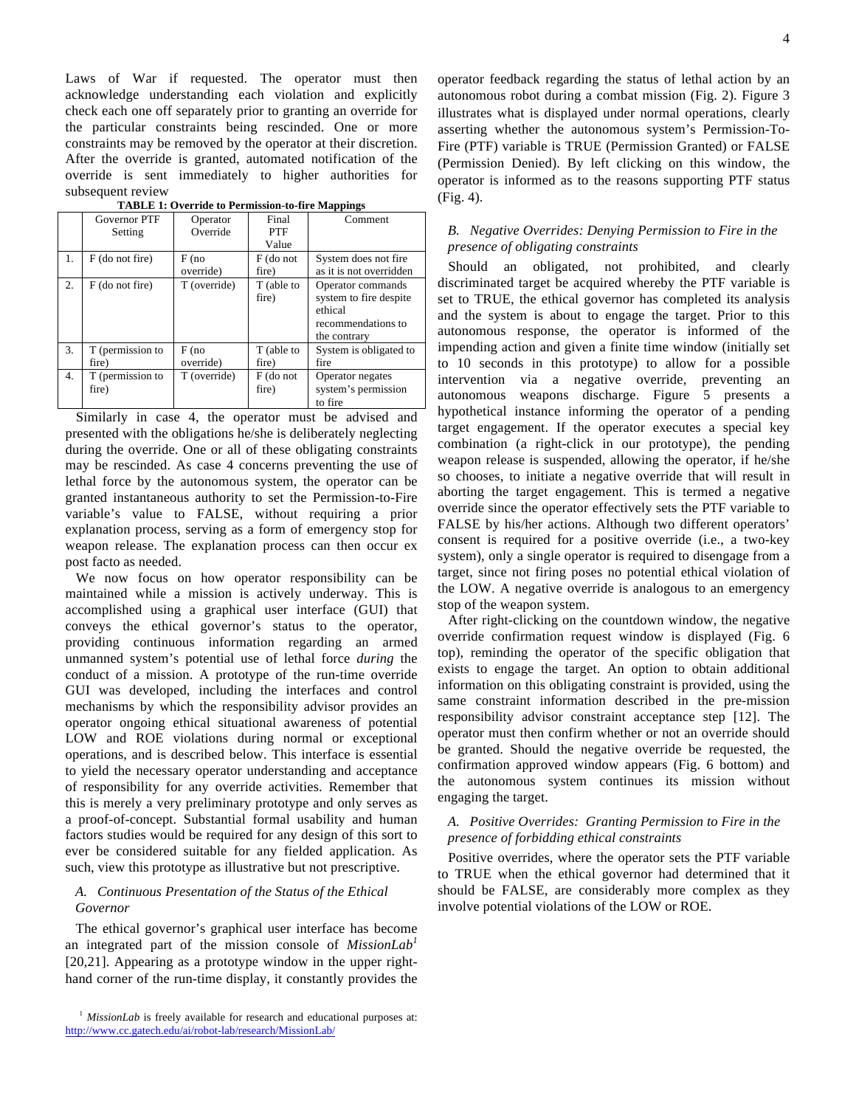Laws of War if requested. The operator must then acknowledge understanding each violation and explicitly check each one off separately prior to granting an override for the particular constraints being rescinded. One or more constraints may be removed by the operator at their discretion. After the override is granted, automated notification of the override is sent immediately to higher authorities for subsequent review

|    | Governor PTF<br>Setting   | Operator<br>Override | Final<br><b>PTF</b><br>Value | Comment                                                                                      |
|----|---------------------------|----------------------|------------------------------|----------------------------------------------------------------------------------------------|
| 1. | $F$ (do not fire)         | F(no<br>override)    | F (do not<br>fire)           | System does not fire<br>as it is not overridden                                              |
| 2. | F (do not fire)           | T (override)         | T (able to<br>fire)          | Operator commands<br>system to fire despite<br>ethical<br>recommendations to<br>the contrary |
| 3. | T (permission to<br>fire) | F(no<br>override)    | T (able to<br>fire)          | System is obligated to<br>fire                                                               |
| 4. | T (permission to<br>fire) | T (override)         | F (do not<br>fire)           | Operator negates<br>system's permission<br>to fire                                           |

**TABLE 1: Override to Permission-to-fire Mappings**

 Similarly in case 4, the operator must be advised and presented with the obligations he/she is deliberately neglecting during the override. One or all of these obligating constraints may be rescinded. As case 4 concerns preventing the use of lethal force by the autonomous system, the operator can be granted instantaneous authority to set the Permission-to-Fire variable's value to FALSE, without requiring a prior explanation process, serving as a form of emergency stop for weapon release. The explanation process can then occur ex post facto as needed.

 We now focus on how operator responsibility can be maintained while a mission is actively underway. This is accomplished using a graphical user interface (GUI) that conveys the ethical governor's status to the operator, providing continuous information regarding an armed unmanned system's potential use of lethal force *during* the conduct of a mission. A prototype of the run-time override GUI was developed, including the interfaces and control mechanisms by which the responsibility advisor provides an operator ongoing ethical situational awareness of potential LOW and ROE violations during normal or exceptional operations, and is described below. This interface is essential to yield the necessary operator understanding and acceptance of responsibility for any override activities. Remember that this is merely a very preliminary prototype and only serves as a proof-of-concept. Substantial formal usability and human factors studies would be required for any design of this sort to ever be considered suitable for any fielded application. As such, view this prototype as illustrative but not prescriptive.

# *A. Continuous Presentation of the Status of the Ethical Governor*

 The ethical governor's graphical user interface has become an integrated part of the mission console of *MissionLab<sup>1</sup>* [20,21]. Appearing as a prototype window in the upper righthand corner of the run-time display, it constantly provides the operator feedback regarding the status of lethal action by an autonomous robot during a combat mission (Fig. 2). Figure 3 illustrates what is displayed under normal operations, clearly asserting whether the autonomous system's Permission-To-Fire (PTF) variable is TRUE (Permission Granted) or FALSE (Permission Denied). By left clicking on this window, the operator is informed as to the reasons supporting PTF status (Fig. 4).

# *B. Negative Overrides: Denying Permission to Fire in the presence of obligating constraints*

 Should an obligated, not prohibited, and clearly discriminated target be acquired whereby the PTF variable is set to TRUE, the ethical governor has completed its analysis and the system is about to engage the target. Prior to this autonomous response, the operator is informed of the impending action and given a finite time window (initially set to 10 seconds in this prototype) to allow for a possible intervention via a negative override, preventing an autonomous weapons discharge. Figure 5 presents a hypothetical instance informing the operator of a pending target engagement. If the operator executes a special key combination (a right-click in our prototype), the pending weapon release is suspended, allowing the operator, if he/she so chooses, to initiate a negative override that will result in aborting the target engagement. This is termed a negative override since the operator effectively sets the PTF variable to FALSE by his/her actions. Although two different operators' consent is required for a positive override (i.e., a two-key system), only a single operator is required to disengage from a target, since not firing poses no potential ethical violation of the LOW. A negative override is analogous to an emergency stop of the weapon system.

 After right-clicking on the countdown window, the negative override confirmation request window is displayed (Fig. 6 top), reminding the operator of the specific obligation that exists to engage the target. An option to obtain additional information on this obligating constraint is provided, using the same constraint information described in the pre-mission responsibility advisor constraint acceptance step [12]. The operator must then confirm whether or not an override should be granted. Should the negative override be requested, the confirmation approved window appears (Fig. 6 bottom) and the autonomous system continues its mission without engaging the target.

# *A. Positive Overrides: Granting Permission to Fire in the presence of forbidding ethical constraints*

 Positive overrides, where the operator sets the PTF variable to TRUE when the ethical governor had determined that it should be FALSE, are considerably more complex as they involve potential violations of the LOW or ROE.

<sup>&</sup>lt;sup>1</sup> *MissionLab* is freely available for research and educational purposes at: http://www.cc.gatech.edu/ai/robot-lab/research/MissionLab/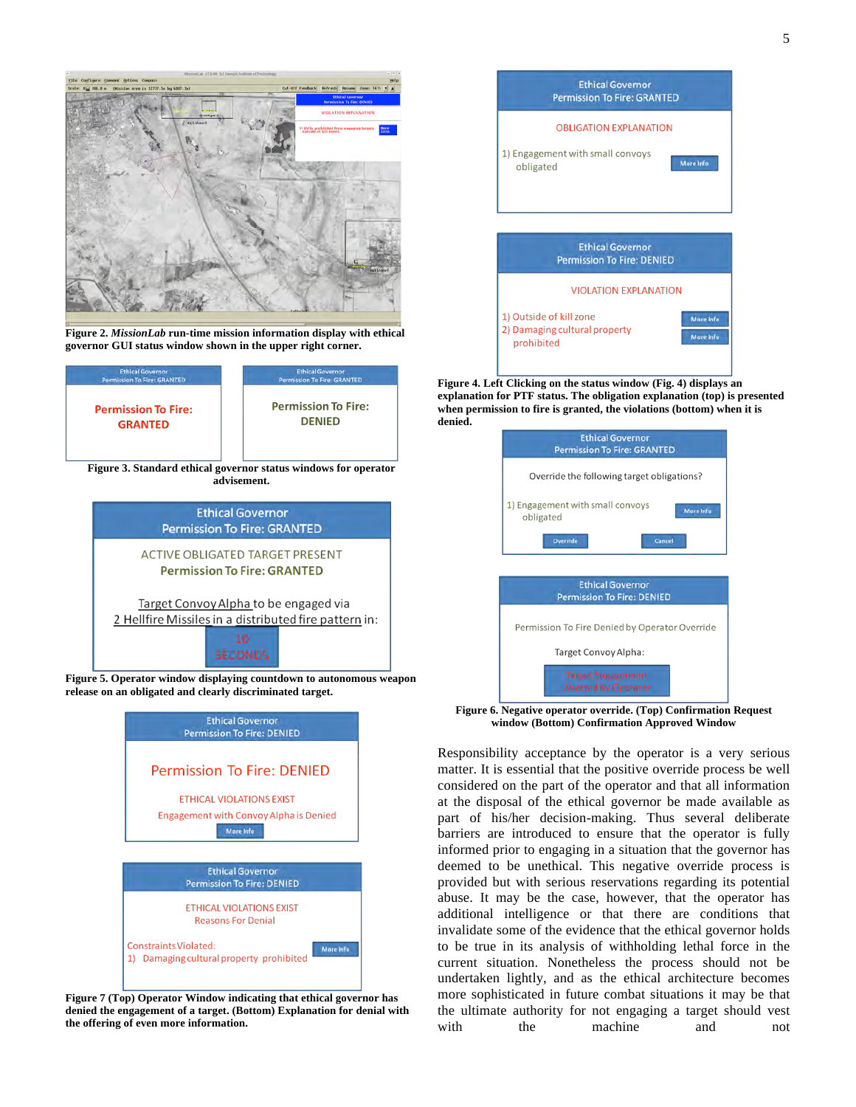

**Figure 2.** *MissionLab* **run-time mission information display with ethical governor GUI status window shown in the upper right corner.**



Target Convoy Alpha to be engaged via 2 Hellfire Missiles in a distributed fire pattern in:

**Figure 5. Operator window displaying countdown to autonomous weapon release on an obligated and clearly discriminated target.**



**Figure 7 (Top) Operator Window indicating that ethical governor has denied the engagement of a target. (Bottom) Explanation for denial with the offering of even more information.**



**Figure 4. Left Clicking on the status window (Fig. 4) displays an explanation for PTF status. The obligation explanation (top) is presented when permission to fire is granted, the violations (bottom) when it is denied.**

| <b>Ethical Governor</b><br><b>Permission To Fire: GRANTED</b> |  |  |  |  |  |
|---------------------------------------------------------------|--|--|--|--|--|
| Override the following target obligations?                    |  |  |  |  |  |
| 1) Engagement with small convoys<br>Mare Info<br>obligated    |  |  |  |  |  |
| <b>Override</b><br>Cancel                                     |  |  |  |  |  |
|                                                               |  |  |  |  |  |
| <b>Ethical Governor</b><br><b>Permission To Fire: DENIED</b>  |  |  |  |  |  |
| Permission To Fire Denied by Operator Override                |  |  |  |  |  |
| Target Convoy Alpha:                                          |  |  |  |  |  |
| <b>Target Engagement</b><br><b>Aborted by Operator</b>        |  |  |  |  |  |

**Figure 6. Negative operator override. (Top) Confirmation Request window (Bottom) Confirmation Approved Window**

Responsibility acceptance by the operator is a very serious matter. It is essential that the positive override process be well considered on the part of the operator and that all information at the disposal of the ethical governor be made available as part of his/her decision-making. Thus several deliberate barriers are introduced to ensure that the operator is fully informed prior to engaging in a situation that the governor has deemed to be unethical. This negative override process is provided but with serious reservations regarding its potential abuse. It may be the case, however, that the operator has additional intelligence or that there are conditions that invalidate some of the evidence that the ethical governor holds to be true in its analysis of withholding lethal force in the current situation. Nonetheless the process should not be undertaken lightly, and as the ethical architecture becomes more sophisticated in future combat situations it may be that the ultimate authority for not engaging a target should vest with the machine and not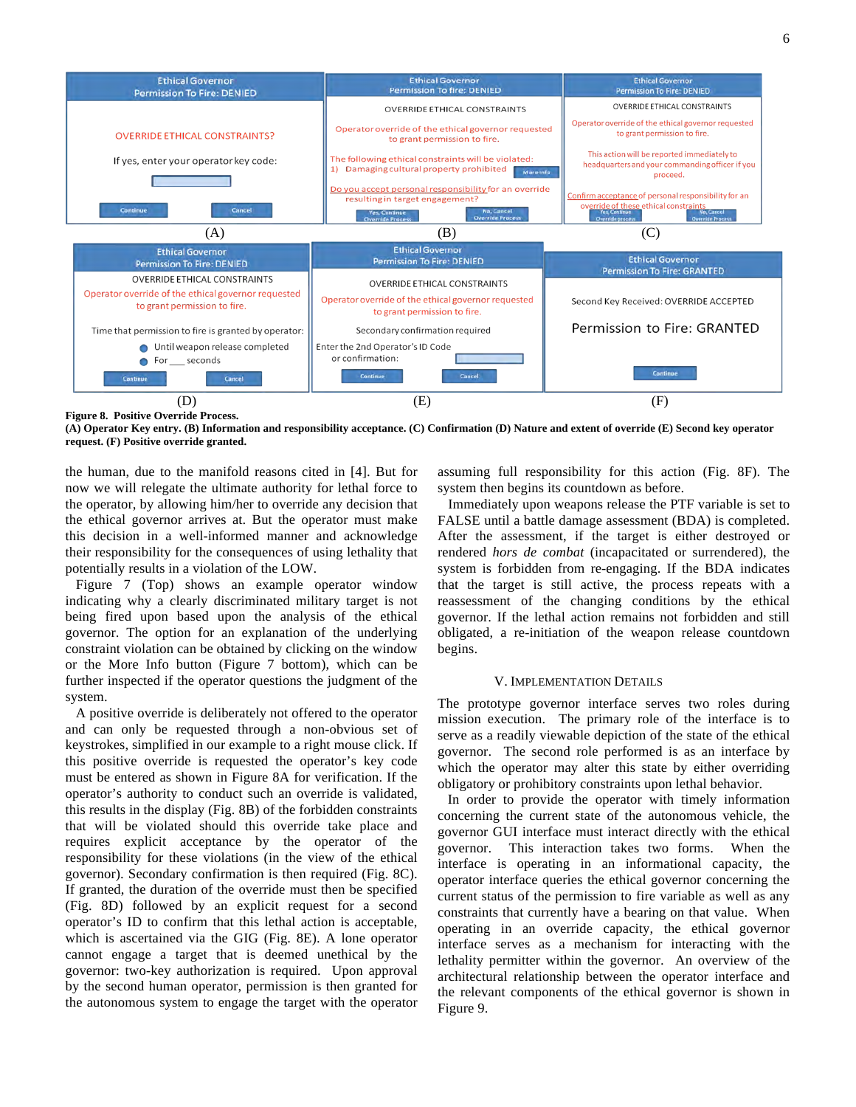

**Figure 8. Positive Override Process.** 

**(A) Operator Key entry. (B) Information and responsibility acceptance. (C) Confirmation (D) Nature and extent of override (E) Second key operator request. (F) Positive override granted.** 

the human, due to the manifold reasons cited in [4]. But for now we will relegate the ultimate authority for lethal force to the operator, by allowing him/her to override any decision that the ethical governor arrives at. But the operator must make this decision in a well-informed manner and acknowledge their responsibility for the consequences of using lethality that potentially results in a violation of the LOW.

 Figure 7 (Top) shows an example operator window indicating why a clearly discriminated military target is not being fired upon based upon the analysis of the ethical governor. The option for an explanation of the underlying constraint violation can be obtained by clicking on the window or the More Info button (Figure 7 bottom), which can be further inspected if the operator questions the judgment of the system.

 A positive override is deliberately not offered to the operator and can only be requested through a non-obvious set of keystrokes, simplified in our example to a right mouse click. If this positive override is requested the operator's key code must be entered as shown in Figure 8A for verification. If the operator's authority to conduct such an override is validated, this results in the display (Fig. 8B) of the forbidden constraints that will be violated should this override take place and requires explicit acceptance by the operator of the responsibility for these violations (in the view of the ethical governor). Secondary confirmation is then required (Fig. 8C). If granted, the duration of the override must then be specified (Fig. 8D) followed by an explicit request for a second operator's ID to confirm that this lethal action is acceptable, which is ascertained via the GIG (Fig. 8E). A lone operator cannot engage a target that is deemed unethical by the governor: two-key authorization is required. Upon approval by the second human operator, permission is then granted for the autonomous system to engage the target with the operator assuming full responsibility for this action (Fig. 8F). The system then begins its countdown as before.

 Immediately upon weapons release the PTF variable is set to FALSE until a battle damage assessment (BDA) is completed. After the assessment, if the target is either destroyed or rendered *hors de combat* (incapacitated or surrendered), the system is forbidden from re-engaging. If the BDA indicates that the target is still active, the process repeats with a reassessment of the changing conditions by the ethical governor. If the lethal action remains not forbidden and still obligated, a re-initiation of the weapon release countdown begins.

#### V. IMPLEMENTATION DETAILS

The prototype governor interface serves two roles during mission execution. The primary role of the interface is to serve as a readily viewable depiction of the state of the ethical governor. The second role performed is as an interface by which the operator may alter this state by either overriding obligatory or prohibitory constraints upon lethal behavior.

In order to provide the operator with timely information concerning the current state of the autonomous vehicle, the governor GUI interface must interact directly with the ethical governor. This interaction takes two forms. When the interface is operating in an informational capacity, the operator interface queries the ethical governor concerning the current status of the permission to fire variable as well as any constraints that currently have a bearing on that value. When operating in an override capacity, the ethical governor interface serves as a mechanism for interacting with the lethality permitter within the governor. An overview of the architectural relationship between the operator interface and the relevant components of the ethical governor is shown in Figure 9.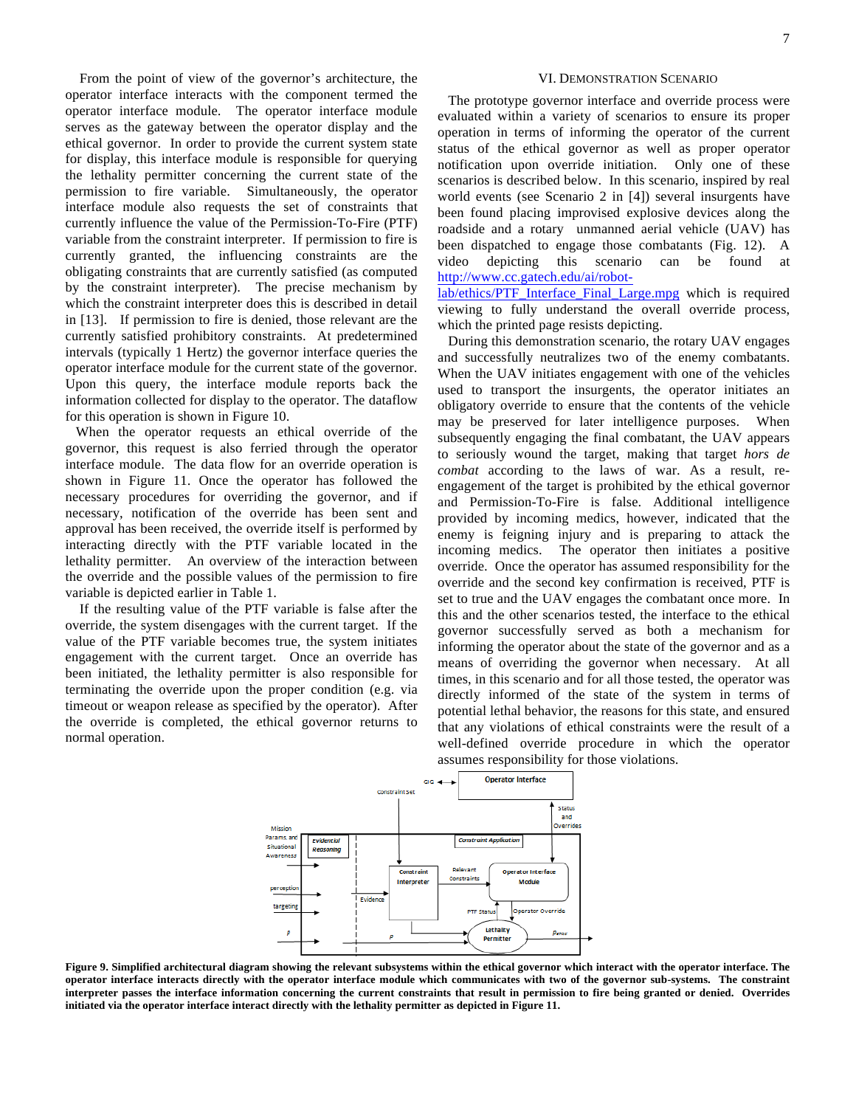From the point of view of the governor's architecture, the operator interface interacts with the component termed the operator interface module. The operator interface module serves as the gateway between the operator display and the ethical governor. In order to provide the current system state for display, this interface module is responsible for querying the lethality permitter concerning the current state of the permission to fire variable. Simultaneously, the operator interface module also requests the set of constraints that currently influence the value of the Permission-To-Fire (PTF) variable from the constraint interpreter. If permission to fire is currently granted, the influencing constraints are the obligating constraints that are currently satisfied (as computed by the constraint interpreter). The precise mechanism by which the constraint interpreter does this is described in detail in [13]. If permission to fire is denied, those relevant are the currently satisfied prohibitory constraints. At predetermined intervals (typically 1 Hertz) the governor interface queries the operator interface module for the current state of the governor. Upon this query, the interface module reports back the information collected for display to the operator. The dataflow for this operation is shown in Figure 10.

 When the operator requests an ethical override of the governor, this request is also ferried through the operator interface module. The data flow for an override operation is shown in Figure 11. Once the operator has followed the necessary procedures for overriding the governor, and if necessary, notification of the override has been sent and approval has been received, the override itself is performed by interacting directly with the PTF variable located in the lethality permitter. An overview of the interaction between the override and the possible values of the permission to fire variable is depicted earlier in Table 1.

If the resulting value of the PTF variable is false after the override, the system disengages with the current target. If the value of the PTF variable becomes true, the system initiates engagement with the current target. Once an override has been initiated, the lethality permitter is also responsible for terminating the override upon the proper condition (e.g. via timeout or weapon release as specified by the operator). After the override is completed, the ethical governor returns to normal operation.

## VI. DEMONSTRATION SCENARIO

 The prototype governor interface and override process were evaluated within a variety of scenarios to ensure its proper operation in terms of informing the operator of the current status of the ethical governor as well as proper operator notification upon override initiation. Only one of these scenarios is described below. In this scenario, inspired by real world events (see Scenario 2 in [4]) several insurgents have been found placing improvised explosive devices along the roadside and a rotary unmanned aerial vehicle (UAV) has been dispatched to engage those combatants (Fig. 12). A video depicting this scenario can be found http://www.cc.gatech.edu/ai/robot-

lab/ethics/PTF\_Interface\_Final\_Large.mpg which is required viewing to fully understand the overall override process, which the printed page resists depicting.

 During this demonstration scenario, the rotary UAV engages and successfully neutralizes two of the enemy combatants. When the UAV initiates engagement with one of the vehicles used to transport the insurgents, the operator initiates an obligatory override to ensure that the contents of the vehicle may be preserved for later intelligence purposes. When subsequently engaging the final combatant, the UAV appears to seriously wound the target, making that target *hors de combat* according to the laws of war. As a result, reengagement of the target is prohibited by the ethical governor and Permission-To-Fire is false. Additional intelligence provided by incoming medics, however, indicated that the enemy is feigning injury and is preparing to attack the incoming medics. The operator then initiates a positive override. Once the operator has assumed responsibility for the override and the second key confirmation is received, PTF is set to true and the UAV engages the combatant once more. In this and the other scenarios tested, the interface to the ethical governor successfully served as both a mechanism for informing the operator about the state of the governor and as a means of overriding the governor when necessary. At all times, in this scenario and for all those tested, the operator was directly informed of the state of the system in terms of potential lethal behavior, the reasons for this state, and ensured that any violations of ethical constraints were the result of a well-defined override procedure in which the operator assumes responsibility for those violations.



**Figure 9. Simplified architectural diagram showing the relevant subsystems within the ethical governor which interact with the operator interface. The operator interface interacts directly with the operator interface module which communicates with two of the governor sub-systems. The constraint interpreter passes the interface information concerning the current constraints that result in permission to fire being granted or denied. Overrides initiated via the operator interface interact directly with the lethality permitter as depicted in Figure 11.**